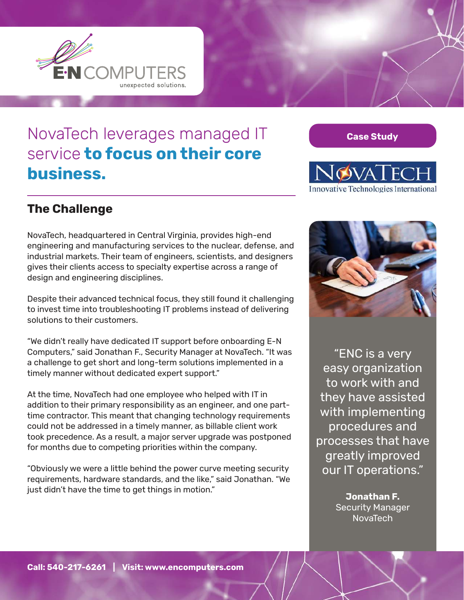

## NovaTech leverages managed IT service **to focus on their core business.**

**Case Study**



## **The Challenge**

NovaTech, headquartered in Central Virginia, provides high-end engineering and manufacturing services to the nuclear, defense, and industrial markets. Their team of engineers, scientists, and designers gives their clients access to specialty expertise across a range of design and engineering disciplines.

Despite their advanced technical focus, they still found it challenging to invest time into troubleshooting IT problems instead of delivering solutions to their customers.

"We didn't really have dedicated IT support before onboarding E-N Computers," said Jonathan F., Security Manager at NovaTech. "It was a challenge to get short and long-term solutions implemented in a timely manner without dedicated expert support."

At the time, NovaTech had one employee who helped with IT in addition to their primary responsibility as an engineer, and one parttime contractor. This meant that changing technology requirements could not be addressed in a timely manner, as billable client work took precedence. As a result, a major server upgrade was postponed for months due to competing priorities within the company.

"Obviously we were a little behind the power curve meeting security requirements, hardware standards, and the like," said Jonathan. "We just didn't have the time to get things in motion."



"ENC is a very easy organization to work with and they have assisted with implementing procedures and processes that have greatly improved our IT operations."

> **Jonathan F.**  Security Manager NovaTech